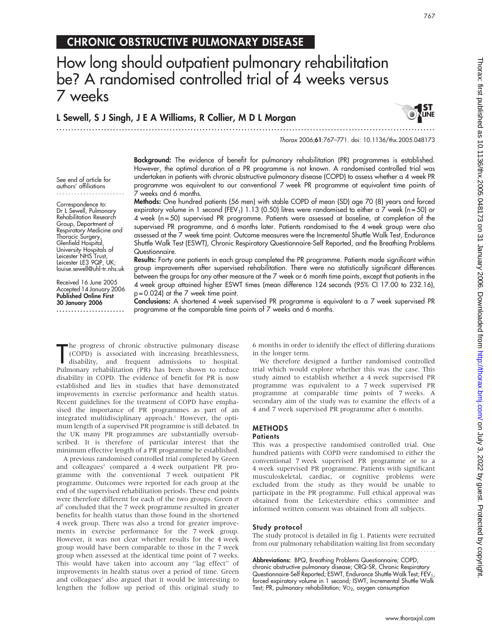## CHRONIC OBSTRUCTIVE PULMONARY DISEASE

# How long should outpatient pulmonary rehabilitation be? A randomised controlled trial of 4 weeks versus 7 weeks

L Sewell, S J Singh, J E A Williams, R Collier, M D L Morgan .............................................................................................................................. .



Thorax 2006;61:767–771. doi: 10.1136/thx.2005.048173

See end of article for authors' affiliations .......................

Correspondence to: Dr L Sewell, Pulmonary Rehabilitation Research Group, Department of Respiratory Medicine and Thoracic Surgery, Glenfield Hospital, University Hospitals of Leicester NHS Trust, Leicester LE3 9QP, UK; louise.sewell@uhl-tr.nhs.uk

Received 16 June 2005 Accepted 14 January 2006 Published Online First 30 January 2006 .......................

Background: The evidence of benefit for pulmonary rehabilitation (PR) programmes is established. However, the optimal duration of a PR programme is not known. A randomised controlled trial was undertaken in patients with chronic obstructive pulmonary disease (COPD) to assess whether a 4 week PR programme was equivalent to our conventional 7 week PR programme at equivalent time points of 7 weeks and 6 months.

Methods: One hundred patients (56 men) with stable COPD of mean (SD) age 70 (8) years and forced expiratory volume in 1 second (FEV<sub>1</sub>) 1.13 (0.50) litres were randomised to either a 7 week (n = 50) or 4 week (n = 50) supervised PR programme. Patients were assessed at baseline, at completion of the supervised PR programme, and 6 months later. Patients randomised to the 4 week group were also assessed at the 7 week time point. Outcome measures were the Incremental Shuttle Walk Test, Endurance Shuttle Walk Test (ESWT), Chronic Respiratory Questionnaire-Self Reported, and the Breathing Problems Questionnaire.

Results: Forty one patients in each group completed the PR programme. Patients made significant within group improvements after supervised rehabilitation. There were no statistically significant differences between the groups for any other measure at the 7 week or 6 month time points, except that patients in the 4 week group attained higher ESWT times (mean difference 124 seconds (95% CI 17.00 to 232.16), p = 0.024) at the 7 week time point.

Conclusions: A shortened 4 week supervised PR programme is equivalent to a 7 week supervised PR programme at the comparable time points of 7 weeks and 6 months.

The progress of chronic obstructive pulmonary disease<br>
(COPD) is associated with increasing breathlessness,<br>
disability, and frequent admissions to hospital.<br>
Pulmonary rehabilitation (PR) has been shown to reduce he progress of chronic obstructive pulmonary disease (COPD) is associated with increasing breathlessness, disability, and frequent admissions to hospital. disability in COPD. The evidence of benefit for PR is now established and lies in studies that have demonstrated improvements in exercise performance and health status. Recent guidelines for the treatment of COPD have emphasised the importance of PR programmes as part of an integrated multidisciplinary approach.<sup>1</sup> However, the optimum length of a supervised PR programme is still debated. In the UK many PR programmes are substantially oversubscribed. It is therefore of particular interest that the minimum effective length of a PR programme be established.

A previous randomised controlled trial completed by Green and colleagues<sup>2</sup> compared a 4 week outpatient PR programme with the conventional 7 week outpatient PR programme. Outcomes were reported for each group at the end of the supervised rehabilitation periods. These end points were therefore different for each of the two groups. Green et  $al<sup>2</sup>$  concluded that the 7 week programme resulted in greater benefits for health status than those found in the shortened 4 week group. There was also a trend for greater improvements in exercise performance for the 7 week group. However, it was not clear whether results for the 4 week group would have been comparable to those in the 7 week group when assessed at the identical time point of 7 weeks. This would have taken into account any ''lag effect'' of improvements in health status over a period of time. Green and colleagues<sup>2</sup> also argued that it would be interesting to lengthen the follow up period of this original study to

6 months in order to identify the effect of differing durations in the longer term.

We therefore designed a further randomised controlled trial which would explore whether this was the case. This study aimed to establish whether a 4 week supervised PR programme was equivalent to a 7 week supervised PR programme at comparable time points of 7 weeks. A secondary aim of the study was to examine the effects of a 4 and 7 week supervised PR programme after 6 months.

## METHODS

## **Patients**

This was a prospective randomised controlled trial. One hundred patients with COPD were randomised to either the conventional 7 week supervised PR programme or to a 4 week supervised PR programme. Patients with significant musculoskeletal, cardiac, or cognitive problems were excluded from the study as they would be unable to participate in the PR programme. Full ethical approval was obtained from the Leicestershire ethics committee and informed written consent was obtained from all subjects.

## Study protocol

The study protocol is detailed in fig 1. Patients were recruited from our pulmonary rehabilitation waiting list from secondary

Abbreviations: BPQ, Breathing Problems Questionnaire; COPD, chronic obstructive pulmonary disease; CRQ-SR, Chronic Respiratory Questionnaire-Self Reported; ESWT, Endurance Shuttle Walk Test; FEV<sub>1</sub> forced expiratory volume in 1 second; ISWT, Incremental Shuttle Walk Test; PR, pulmonary rehabilitation;  $VO<sub>2</sub>$ , oxygen consumption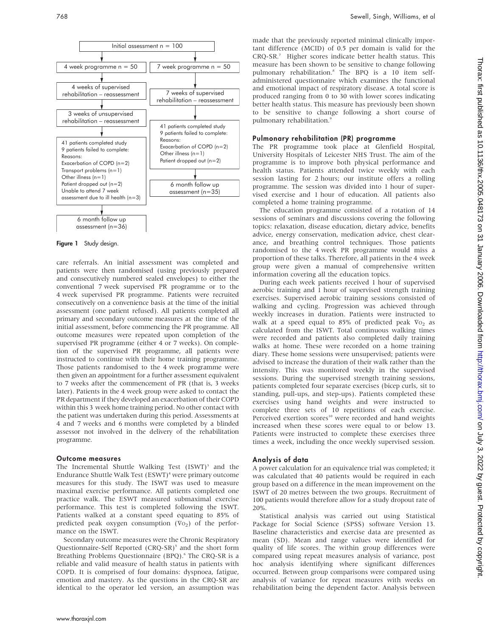

Figure 1 Study design.

care referrals. An initial assessment was completed and patients were then randomised (using previously prepared and consecutively numbered sealed envelopes) to either the conventional 7 week supervised PR programme or to the 4 week supervised PR programme. Patients were recruited consecutively on a convenience basis at the time of the initial assessment (one patient refused). All patients completed all primary and secondary outcome measures at the time of the initial assessment, before commencing the PR programme. All outcome measures were repeated upon completion of the supervised PR programme (either 4 or 7 weeks). On completion of the supervised PR programme, all patients were instructed to continue with their home training programme. Those patients randomised to the 4 week programme were then given an appointment for a further assessment equivalent to 7 weeks after the commencement of PR (that is, 3 weeks later). Patients in the 4 week group were asked to contact the PR department if they developed an exacerbation of their COPD within this 3 week home training period. No other contact with the patient was undertaken during this period. Assessments at 4 and 7 weeks and 6 months were completed by a blinded assessor not involved in the delivery of the rehabilitation programme.

#### Outcome measures

The Incremental Shuttle Walking Test  $(ISWT)^3$  and the Endurance Shuttle Walk Test (ESWT)4 were primary outcome measures for this study. The ISWT was used to measure maximal exercise performance. All patients completed one practice walk. The ESWT measured submaximal exercise performance. This test is completed following the ISWT. Patients walked at a constant speed equating to 85% of predicted peak oxygen consumption  $(\mathbb{V}\Omega_2)$  of the performance on the ISWT.

Secondary outcome measures were the Chronic Respiratory Questionnaire-Self Reported (CRQ-SR)<sup>5</sup> and the short form Breathing Problems Questionnaire (BPQ).<sup>6</sup> The CRQ-SR is a reliable and valid measure of health status in patients with COPD. It is comprised of four domains: dyspnoea, fatigue, emotion and mastery. As the questions in the CRQ-SR are identical to the operator led version, an assumption was

made that the previously reported minimal clinically important difference (MCID) of 0.5 per domain is valid for the CRQ-SR.7 Higher scores indicate better health status. This measure has been shown to be sensitive to change following pulmonary rehabilitation.<sup>8</sup> The BPQ is a 10 item selfadministered questionnaire which examines the functional and emotional impact of respiratory disease. A total score is produced ranging from 0 to 30 with lower scores indicating better health status. This measure has previously been shown to be sensitive to change following a short course of pulmonary rehabilitation.9

#### Pulmonary rehabilitation (PR) programme

The PR programme took place at Glenfield Hospital, University Hospitals of Leicester NHS Trust. The aim of the programme is to improve both physical performance and health status. Patients attended twice weekly with each session lasting for 2 hours; our institute offers a rolling programme. The session was divided into 1 hour of supervised exercise and 1 hour of education. All patients also completed a home training programme.

The education programme consisted of a rotation of 14 sessions of seminars and discussions covering the following topics: relaxation, disease education, dietary advice, benefits advice, energy conservation, medication advice, chest clearance, and breathing control techniques. Those patients randomised to the 4 week PR programme would miss a proportion of these talks. Therefore, all patients in the 4 week group were given a manual of comprehensive written information covering all the education topics.

During each week patients received 1 hour of supervised aerobic training and 1 hour of supervised strength training exercises. Supervised aerobic training sessions consisted of walking and cycling. Progression was achieved through weekly increases in duration. Patients were instructed to walk at a speed equal to 85% of predicted peak  $V_{O_2}$  as calculated from the ISWT. Total continuous walking times were recorded and patients also completed daily training walks at home. These were recorded on a home training diary. These home sessions were unsupervised; patients were advised to increase the duration of their walk rather than the intensity. This was monitored weekly in the supervised sessions. During the supervised strength training sessions, patients completed four separate exercises (bicep curls, sit to standing, pull-ups, and step-ups). Patients completed these exercises using hand weights and were instructed to complete three sets of 10 repetitions of each exercise. Perceived exertion scores<sup>10</sup> were recorded and hand weights increased when these scores were equal to or below 13. Patients were instructed to complete these exercises three times a week, including the once weekly supervised session.

#### Analysis of data

A power calculation for an equivalence trial was completed; it was calculated that 40 patients would be required in each group based on a difference in the mean improvement on the ISWT of 20 metres between the two groups. Recruitment of 100 patients would therefore allow for a study dropout rate of 20%.

Statistical analysis was carried out using Statistical Package for Social Science (SPSS) software Version 13. Baseline characteristics and exercise data are presented as mean (SD). Mean and range values were identified for quality of life scores. The within group differences were compared using repeat measures analysis of variance, post hoc analysis identifying where significant differences occurred. Between group comparisons were compared using analysis of variance for repeat measures with weeks on rehabilitation being the dependent factor. Analysis between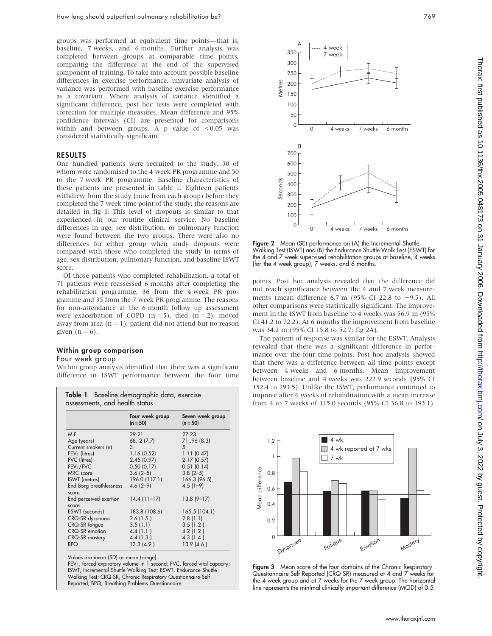groups was performed at equivalent time points—that is, baseline, 7 weeks, and 6 months. Further analysis was completed between groups at comparable time points, comparing the difference at the end of the supervised component of training. To take into account possible baseline differences in exercise performance, univariate analysis of variance was performed with baseline exercise performance as a covariant. Where analysis of variance identified a significant difference, post hoc tests were completed with correction for multiple measures. Mean difference and 95% confidence intervals (CI) are presented for comparisons within and between groups. A p value of  $< 0.05$  was considered statistically significant.

#### RESULTS

One hundred patients were recruited to the study, 50 of whom were randomised to the 4 week PR programme and 50 to the 7 week PR programme. Baseline characteristics of these patients are presented in table 1. Eighteen patients withdrew from the study (nine from each group) before they completed the 7 week time point of the study; the reasons are detailed in fig 1. This level of dropouts is similar to that experienced in our routine clinical service. No baseline differences in age, sex distribution, or pulmonary function were found between the two groups. There were also no differences for either group when study dropouts were compared with those who completed the study in terms of age, sex distribution, pulmonary function, and baseline ISWT score.

Of those patients who completed rehabilitation, a total of 71 patients were reassessed 6 months after completing the rehabilitation programme, 36 from the 4 week PR programme and 35 from the 7 week PR programme. The reasons for non-attendance at the 6 month follow up assessment were exacerbation of COPD  $(n = 5)$ , died  $(n = 2)$ , moved away from area  $(n = 1)$ , patient did not attend but no reason given  $(n = 6)$ .

#### Within group comparison

#### Four week group

Within group analysis identified that there was a significant difference in ISWT performance between the four time

|                                  | Four week group<br>$(n = 50)$ | Seven week group<br>$(n = 50)$ |
|----------------------------------|-------------------------------|--------------------------------|
| M: F                             | 29.21                         | 27:23                          |
| Age (years)                      | 68. 2 (7.7)                   | 7196 (8.3)                     |
| Current smokers (n)              | 3                             | 5                              |
| $FEV1$ (litres)                  | 1.16(0.52)                    | 1.11(0.47)                     |
| FVC (litres)                     | 2.45(0.97)                    | 2.17(0.57)                     |
| FEV <sub>1</sub> /FVC            | 0.50(0.17)                    | 0.51(0.14)                     |
| MRC score                        | $3.6(2-5)$                    | $3.8(2-5)$                     |
| ISWT (metres)                    | 196.0 (117.1)                 | 166.3 (96.5)                   |
| End Borg breathlessness<br>score | $4.6(2-9)$                    | $4.5(1-9)$                     |
| End perceived exertion<br>score  | $14.4(11-17)$                 | $13.8(9-17)$                   |
| ESWT (seconds)                   | 183.8 (108.6)                 | 165.5(104.1)                   |
| CRQ-SR dyspnoea                  | 2.6(1.5)                      | 2.8(1.1)                       |
| <b>CRQ-SR</b> fatigue            | 3.5(1.1)                      | 3.5(1.2)                       |
| CRQ-SR emotion                   | 4.4(1.1)                      | 4.2(1.2)                       |
| <b>CRQ-SR</b> mastery            | 4.4(1.3)                      | 4.3(1.4)                       |
| <b>BPQ</b>                       | 13.3(4.9)                     | 13.9(4.6)                      |

Values are mean (SD) or mean (range).

FEV<sub>1</sub>, forced expiratory volume in 1 second; FVC, forced vital capacity;<br>ISWT, Incremental Shuttle Walking Test; ESWT, Endurance Shuttle Walking Test; CRQ-SR, Chronic Respiratory Questionnaire-Self Reported; BPQ, Breathing Problems Questionnaire.



Figure 2 Mean (SE) performance on (A) the Incremental Shuttle Walking Test (ISWT) and (B) the Endurance Shuttle Walk Test (ESWT) for the 4 and 7 week supervised rehabilitation groups at baseline, 4 weeks (for the 4 week group), 7 weeks, and 6 months.

points. Post hoc analysis revealed that the difference did not reach significance between the 4 and 7 week measurements (mean difference 6.7 m (95% CI 22.8 to  $-9.5$ ). All other comparisons were statistically significant. The improvement in the ISWT from baseline to 4 weeks was 56.9 m (95% CI 41.2 to 72.2). At 6 months the improvement from baseline was 34.2 m (95% CI 15.8 to 52.7; fig 2A).

The pattern of response was similar for the ESWT. Analysis revealed that there was a significant difference in performance over the four time points. Post hoc analysis showed that there was a difference between all time points except between 4 weeks and 6 months. Mean improvement between baseline and 4 weeks was 222.9 seconds (95% CI 152.4 to 293.5). Unlike the ISWT, performance continued to improve after 4 weeks of rehabilitation with a mean increase from 4 to 7 weeks of 115.0 seconds (95% CI 36.8 to 193.1).



Figure 3 Mean score of the four domains of the Chronic Respiratory Questionnaire-Self Reported (CRQ-SR) measured at 4 and 7 weeks for the 4 week group and at 7 weeks for the 7 week group. The horizontal line represents the minimal clinically important difference (MCID) of 0.5.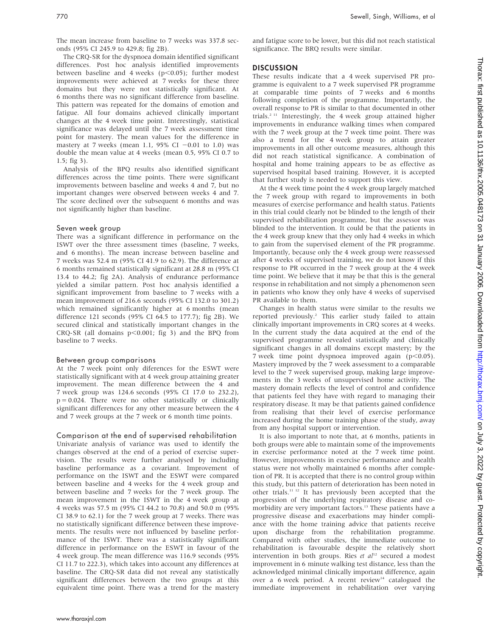The mean increase from baseline to 7 weeks was 337.8 seconds (95% CI 245.9 to 429.8; fig 2B).

The CRQ-SR for the dyspnoea domain identified significant differences. Post hoc analysis identified improvements between baseline and 4 weeks ( $p$ <0.05); further modest improvements were achieved at 7 weeks for these three domains but they were not statistically significant. At 6 months there was no significant difference from baseline. This pattern was repeated for the domains of emotion and fatigue. All four domains achieved clinically important changes at the 4 week time point. Interestingly, statistical significance was delayed until the 7 week assessment time point for mastery. The mean values for the difference in mastery at 7 weeks (mean 1.1, 95% CI  $-0.01$  to 1.0) was double the mean value at 4 weeks (mean 0.5, 95% CI 0.7 to 1.5; fig 3).

Analysis of the BPQ results also identified significant differences across the time points. There were significant improvements between baseline and weeks 4 and 7, but no important changes were observed between weeks 4 and 7. The score declined over the subsequent 6 months and was not significantly higher than baseline.

## Seven week group

There was a significant difference in performance on the ISWT over the three assessment times (baseline, 7 weeks, and 6 months). The mean increase between baseline and 7 weeks was 52.4 m (95% CI 41.9 to 62.9). The difference at 6 months remained statistically significant at 28.8 m (95% CI 13.4 to 44.2; fig 2A). Analysis of endurance performance yielded a similar pattern. Post hoc analysis identified a significant improvement from baseline to 7 weeks with a mean improvement of 216.6 seconds (95% CI 132.0 to 301.2) which remained significantly higher at 6 months (mean difference 121 seconds (95% CI 64.5 to 177.7); fig 2B). We secured clinical and statistically important changes in the  $CRO-SR$  (all domains  $p<0.001$ ; fig 3) and the BPQ from baseline to 7 weeks.

## Between group comparisons

At the 7 week point only diferences for the ESWT were statistically significant with at 4 week group attaining greater improvement. The mean difference between the 4 and 7 week group was 124.6 seconds (95% CI 17.0 to 232.2),  $p = 0.024$ . There were no other statistically or clinically significant differences for any other measure between the 4 and 7 week groups at the 7 week or 6 month time points.

Comparison at the end of supervised rehabilitation Univariate analysis of variance was used to identify the changes observed at the end of a period of exercise supervision. The results were further analysed by including baseline performance as a covariant. Improvement of performance on the ISWT and the ESWT were compared between baseline and 4 weeks for the 4 week group and between baseline and 7 weeks for the 7 week group. The mean improvement in the ISWT in the 4 week group at 4 weeks was 57.5 m (95% CI 44.2 to 70.8) and 50.0 m (95% CI 38.9 to 62.1) for the 7 week group at 7 weeks. There was no statistically significant difference between these improvements. The results were not influenced by baseline performance of the ISWT. There was a statistically significant difference in performance on the ESWT in favour of the 4 week group. The mean difference was 116.9 seconds (95% CI 11.7 to 222.3), which takes into account any differences at baseline. The CRQ-SR data did not reveal any statistically significant differences between the two groups at this equivalent time point. There was a trend for the mastery

## **DISCUSSION**

These results indicate that a 4 week supervised PR programme is equivalent to a 7 week supervised PR programme at comparable time points of 7 weeks and 6 months following completion of the programme. Importantly, the overall response to PR is similar to that documented in other trials.2 11 Interestingly, the 4 week group attained higher improvements in endurance walking times when compared with the 7 week group at the 7 week time point. There was also a trend for the 4 week group to attain greater improvements in all other outcome measures, although this did not reach statistical significance. A combination of hospital and home training appears to be as effective as supervised hospital based training. However, it is accepted that further study is needed to support this view.

At the 4 week time point the 4 week group largely matched the 7 week group with regard to improvements in both measures of exercise performance and health status. Patients in this trial could clearly not be blinded to the length of their supervised rehabilitation programme, but the assessor was blinded to the intervention. It could be that the patients in the 4 week group knew that they only had 4 weeks in which to gain from the supervised element of the PR programme. Importantly, because only the 4 week group were reassessed after 4 weeks of supervised training, we do not know if this response to PR occurred in the 7 week group at the 4 week time point. We believe that it may be that this is the general response in rehabilitation and not simply a phenomenon seen in patients who know they only have 4 weeks of supervised PR available to them.

Changes in health status were similar to the results we reported previously.2 This earlier study failed to attain clinically important improvements in CRQ scores at 4 weeks. In the current study the data acquired at the end of the supervised programme revealed statistically and clinically significant changes in all domains except mastery; by the 7 week time point dyspnoea improved again  $(p<0.05)$ . Mastery improved by the 7 week assessment to a comparable level to the 7 week supervised group, making large improvements in the 3 weeks of unsupervised home activity. The mastery domain reflects the level of control and confidence that patients feel they have with regard to managing their respiratory disease. It may be that patients gained confidence from realising that their level of exercise performance increased during the home training phase of the study, away from any hospital support or intervention.

It is also important to note that, at 6 months, patients in both groups were able to maintain some of the improvements in exercise performance noted at the 7 week time point. However, improvements in exercise performance and health status were not wholly maintained 6 months after completion of PR. It is accepted that there is no control group within this study, but this pattern of deterioration has been noted in other trials.11 12 It has previously been accepted that the progression of the underlying respiratory disease and comorbidity are very important factors.<sup>13</sup> These patients have a progressive disease and exacerbations may hinder compliance with the home training advice that patients receive upon discharge from the rehabilitation programme. Compared with other studies, the immediate outcome to rehabilitation is favourable despite the relatively short intervention in both groups. Ries et  $al^{12}$  secured a modest improvement in 6 minute walking test distance, less than the acknowledged minimal clinically important difference, again over a 6 week period. A recent review $14$  catalogued the immediate improvement in rehabilitation over varying